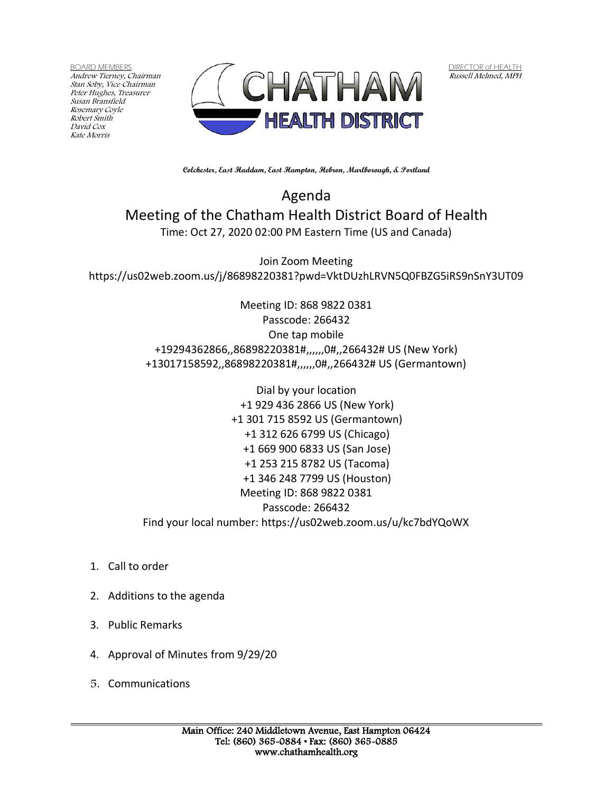BOARD MEMBERS Andrew Tierney, Chairman Stan Soby, Vice Chairman Peter Hughes, Treasurer Susan Bransfield Rosemary Coyle Robert Smith David Cox Kate Morris



DIRECTOR of HEALTH Russell Melmed, MPH

**Colchester, East Haddam, East Hampton, Hebron, Marlborough, & Portland**

Agenda Meeting of the Chatham Health District Board of Health Time: Oct 27, 2020 02:00 PM Eastern Time (US and Canada)

Join Zoom Meeting https://us02web.zoom.us/j/86898220381?pwd=VktDUzhLRVN5Q0FBZG5iRS9nSnY3UT09

> Meeting ID: 868 9822 0381 Passcode: 266432 One tap mobile +19294362866,,86898220381#,,,,,,0#,,266432# US (New York) +13017158592,,86898220381#,,,,,,0#,,266432# US (Germantown)

> Dial by your location +1 929 436 2866 US (New York) +1 301 715 8592 US (Germantown) +1 312 626 6799 US (Chicago) +1 669 900 6833 US (San Jose) +1 253 215 8782 US (Tacoma) +1 346 248 7799 US (Houston) Meeting ID: 868 9822 0381 Passcode: 266432 Find your local number: https://us02web.zoom.us/u/kc7bdYQoWX

- 1. Call to order
- 2. Additions to the agenda
- 3. Public Remarks
- 4. Approval of Minutes from 9/29/20
- 5. Communications